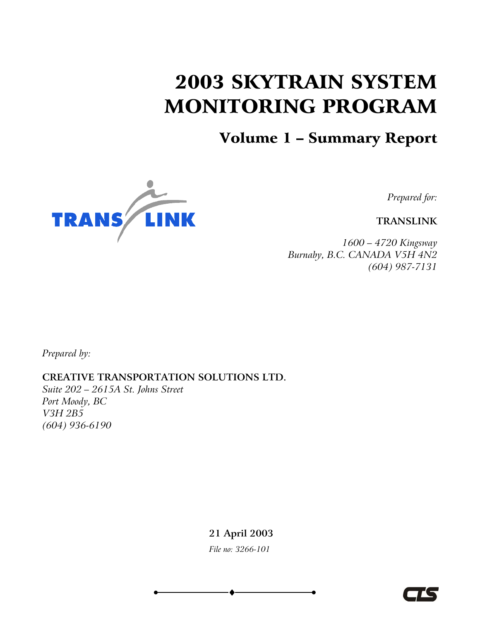# 2003 SKYTRAIN SYSTEM MONITORING PROGRAM

### Volume 1 – Summary Report



*Prepared for:* 

**TRANSLINK** 

*1600 – 4720 Kingsway Burnaby, B.C. CANADA V5H 4N2 (604) 987-7131* 

*Prepared by:* 

**CREATIVE TRANSPORTATION SOLUTIONS LTD.**

*Suite 202 – 2615A St. Johns Street Port Moody, BC V3H 2B5 (604) 936-6190* 

> **21 April 2003** *File no: 3266-101*

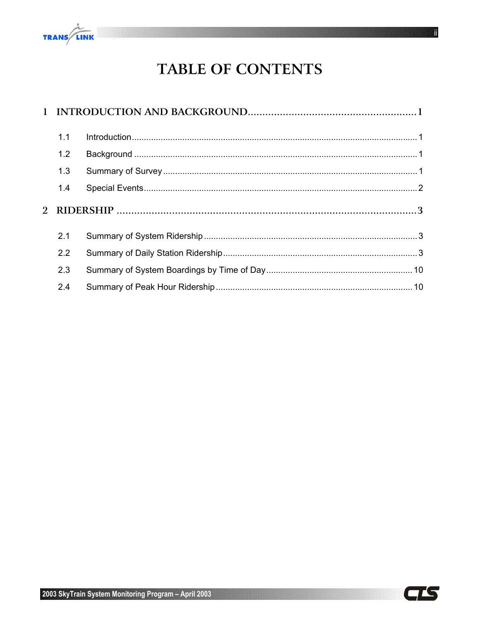

# TABLE OF CONTENTS

| 1.1 |  |  |  |
|-----|--|--|--|
| 1.2 |  |  |  |
| 1.3 |  |  |  |
| 1.4 |  |  |  |
|     |  |  |  |
|     |  |  |  |
| 2.1 |  |  |  |
| 2.2 |  |  |  |
| 2.3 |  |  |  |

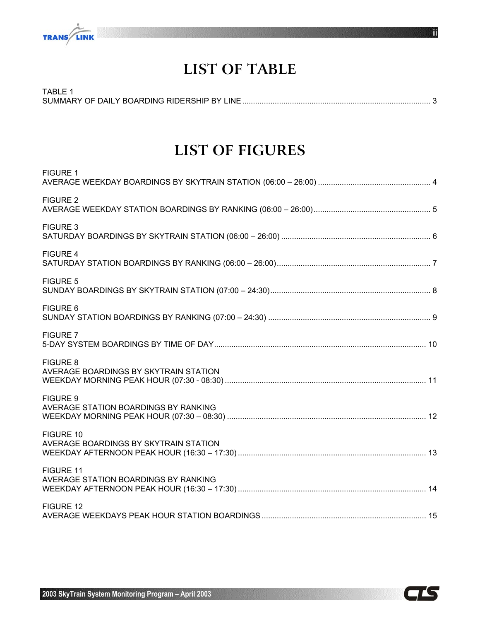

# **LIST OF TABLE**

| TABLE |  |
|-------|--|
|       |  |

### **LIST OF FIGURES**

| <b>FIGURE 1</b>                                          |
|----------------------------------------------------------|
| <b>FIGURE 2</b>                                          |
| <b>FIGURE 3</b>                                          |
| <b>FIGURE 4</b>                                          |
| <b>FIGURE 5</b>                                          |
| FIGURE 6                                                 |
| <b>FIGURE 7</b>                                          |
| <b>FIGURE 8</b><br>AVERAGE BOARDINGS BY SKYTRAIN STATION |
| <b>FIGURE 9</b><br>AVERAGE STATION BOARDINGS BY RANKING  |
| FIGURE 10<br>AVERAGE BOARDINGS BY SKYTRAIN STATION       |
| FIGURE 11<br>AVERAGE STATION BOARDINGS BY RANKING        |
| FIGURE 12                                                |



iii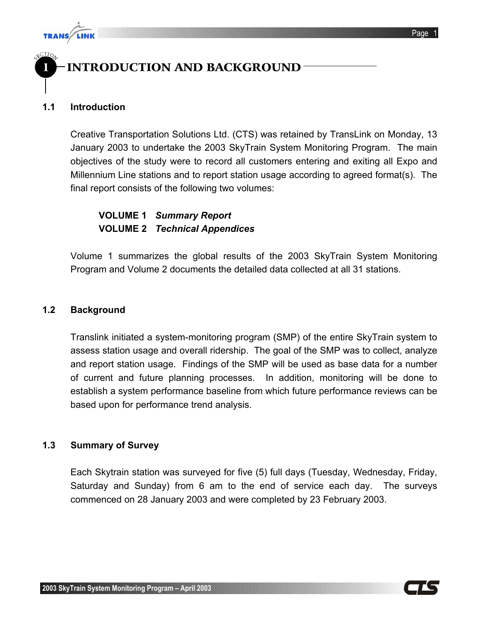

1

### 1 INTRODUCTION AND BACKGROUND

#### **1.1 Introduction**

**TRANS** 

Creative Transportation Solutions Ltd. (CTS) was retained by TransLink on Monday, 13 January 2003 to undertake the 2003 SkyTrain System Monitoring Program. The main objectives of the study were to record all customers entering and exiting all Expo and Millennium Line stations and to report station usage according to agreed format(s). The final report consists of the following two volumes:

#### **VOLUME 1** *Summary Report* **VOLUME 2** *Technical Appendices*

Volume 1 summarizes the global results of the 2003 SkyTrain System Monitoring Program and Volume 2 documents the detailed data collected at all 31 stations.

#### **1.2 Background**

Translink initiated a system-monitoring program (SMP) of the entire SkyTrain system to assess station usage and overall ridership. The goal of the SMP was to collect, analyze and report station usage. Findings of the SMP will be used as base data for a number of current and future planning processes. In addition, monitoring will be done to establish a system performance baseline from which future performance reviews can be based upon for performance trend analysis.

#### **1.3 Summary of Survey**

Each Skytrain station was surveyed for five (5) full days (Tuesday, Wednesday, Friday, Saturday and Sunday) from 6 am to the end of service each day. The surveys commenced on 28 January 2003 and were completed by 23 February 2003.

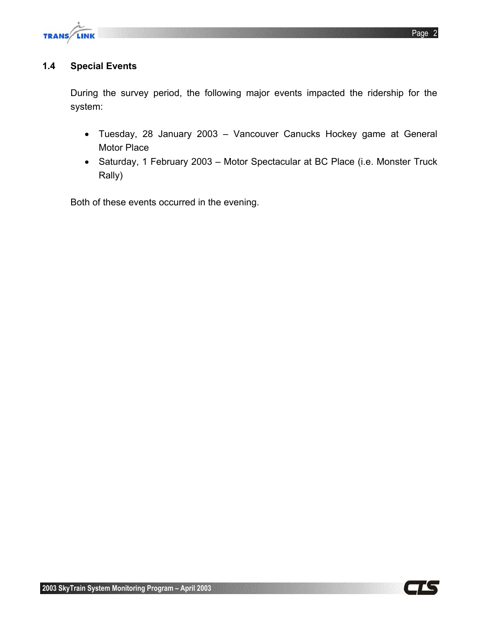

#### **1.4 Special Events**

During the survey period, the following major events impacted the ridership for the system:

- Tuesday, 28 January 2003 Vancouver Canucks Hockey game at General Motor Place
- Saturday, 1 February 2003 Motor Spectacular at BC Place (i.e. Monster Truck Rally)

Both of these events occurred in the evening.

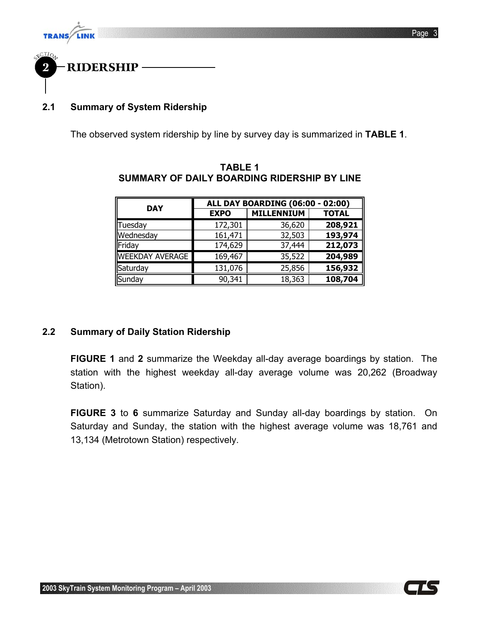



#### **2.1 Summary of System Ridership**

The observed system ridership by line by survey day is summarized in **TABLE 1**.

| <b>DAY</b>             | ALL DAY BOARDING (06:00 -<br>02:00) |                   |              |  |
|------------------------|-------------------------------------|-------------------|--------------|--|
|                        | <b>EXPO</b>                         | <b>MILLENNIUM</b> | <b>TOTAL</b> |  |
| Tuesday                | 172,301                             | 36,620            | 208,921      |  |
| Wednesday              | 161,471                             | 32,503            | 193,974      |  |
| Friday                 | 174,629                             | 37,444            | 212,073      |  |
| <b>WEEKDAY AVERAGE</b> | 169,467                             | 35,522            | 204,989      |  |
| Saturday               | 131,076                             | 25,856            | 156,932      |  |
| Sunday                 | 90,341                              | 18,363            | 108,704      |  |

#### **TABLE 1 SUMMARY OF DAILY BOARDING RIDERSHIP BY LINE**

#### **2.2 Summary of Daily Station Ridership**

**FIGURE 1** and **2** summarize the Weekday all-day average boardings by station. The station with the highest weekday all-day average volume was 20,262 (Broadway Station).

**FIGURE 3** to **6** summarize Saturday and Sunday all-day boardings by station. On Saturday and Sunday, the station with the highest average volume was 18,761 and 13,134 (Metrotown Station) respectively.

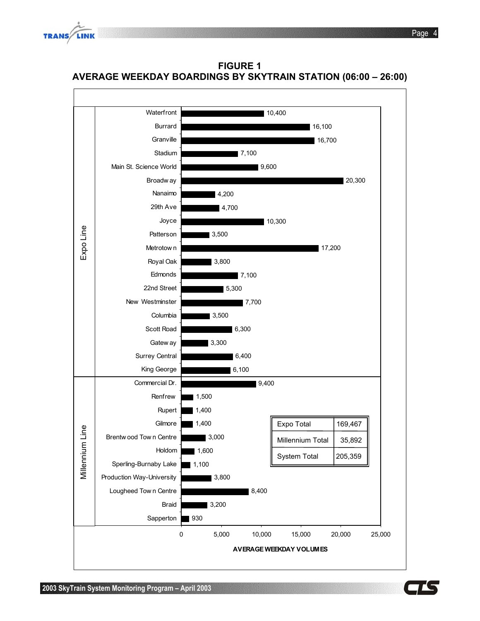





**FIGURE 1 AVERAGE WEEKDAY BOARDINGS BY SKYTRAIN STATION (06:00 – 26:00)** 

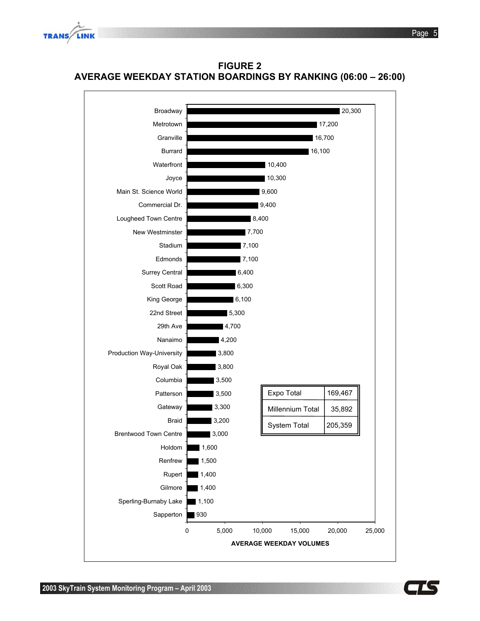



**FIGURE 2 AVERAGE WEEKDAY STATION BOARDINGS BY RANKING (06:00 – 26:00)** 

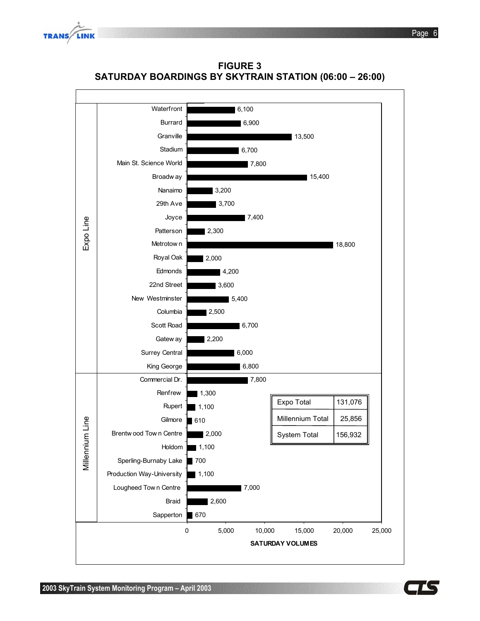



**FIGURE 3 SATURDAY BOARDINGS BY SKYTRAIN STATION (06:00 – 26:00)** 

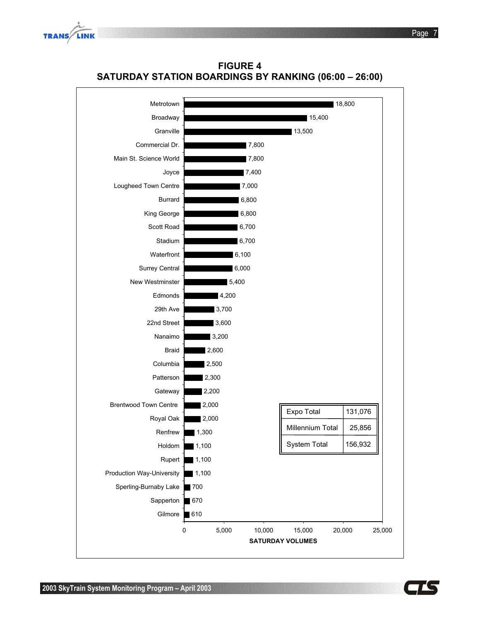

**FIGURE 4 SATURDAY STATION BOARDINGS BY RANKING (06:00 – 26:00)** 



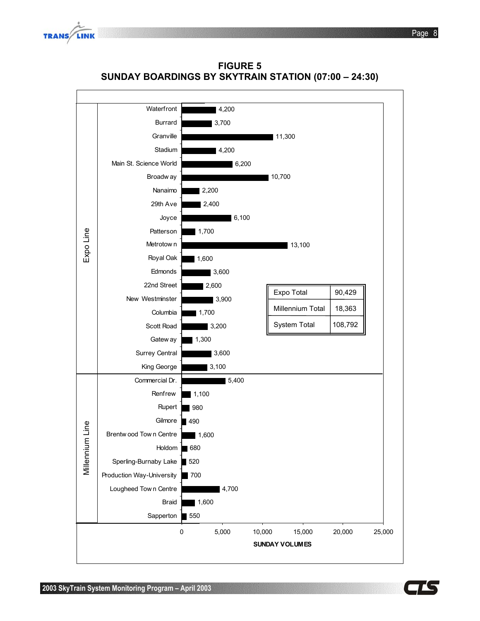



**FIGURE 5 SUNDAY BOARDINGS BY SKYTRAIN STATION (07:00 – 24:30)** 

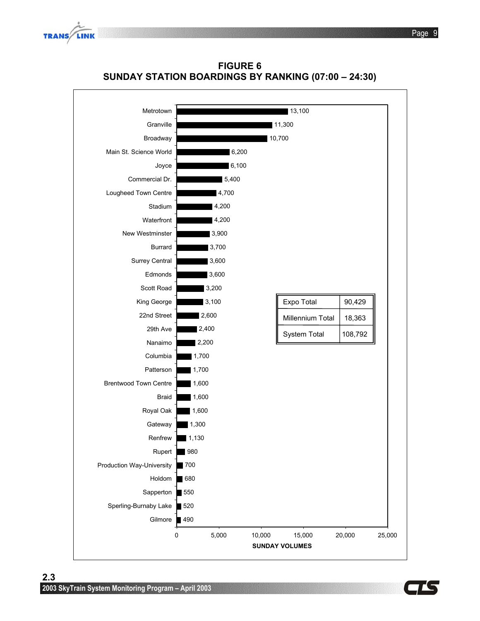



**FIGURE 6 SUNDAY STATION BOARDINGS BY RANKING (07:00 – 24:30)** 

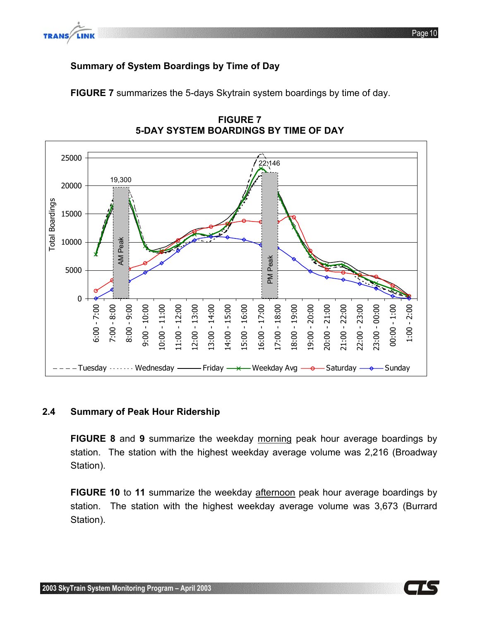

#### **Summary of System Boardings by Time of Day**

**FIGURE 7** summarizes the 5-days Skytrain system boardings by time of day.



**FIGURE 7 5-DAY SYSTEM BOARDINGS BY TIME OF DAY** 

#### **2.4 Summary of Peak Hour Ridership**

**FIGURE 8** and **9** summarize the weekday morning peak hour average boardings by station. The station with the highest weekday average volume was 2,216 (Broadway Station).

**FIGURE 10** to **11** summarize the weekday afternoon peak hour average boardings by station. The station with the highest weekday average volume was 3,673 (Burrard Station).

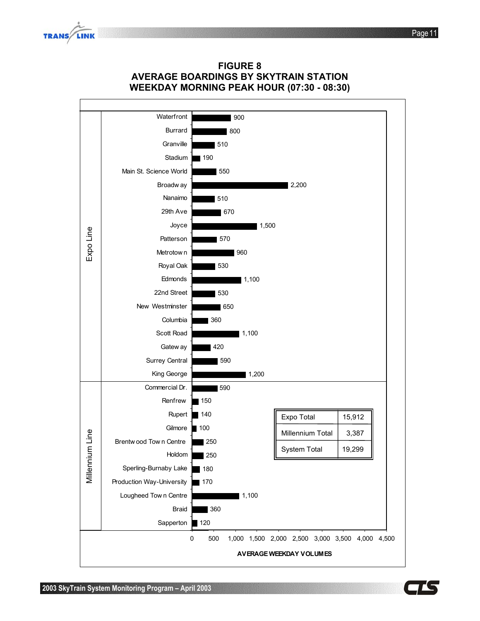



**FIGURE 8 AVERAGE BOARDINGS BY SKYTRAIN STATION** 

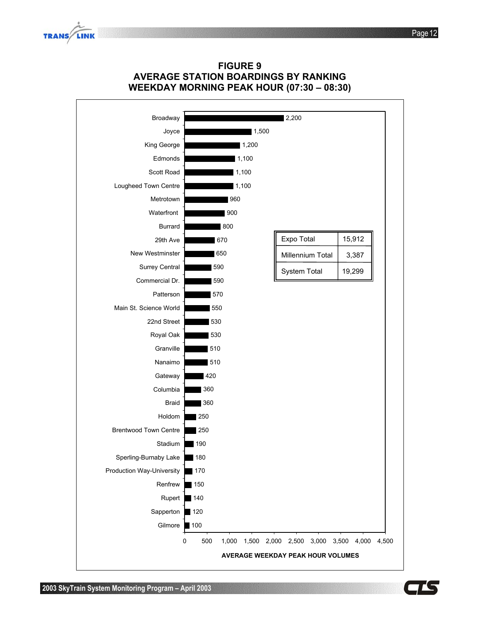





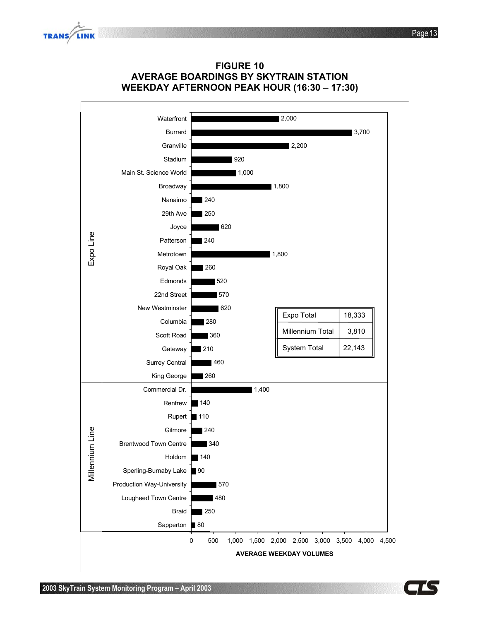





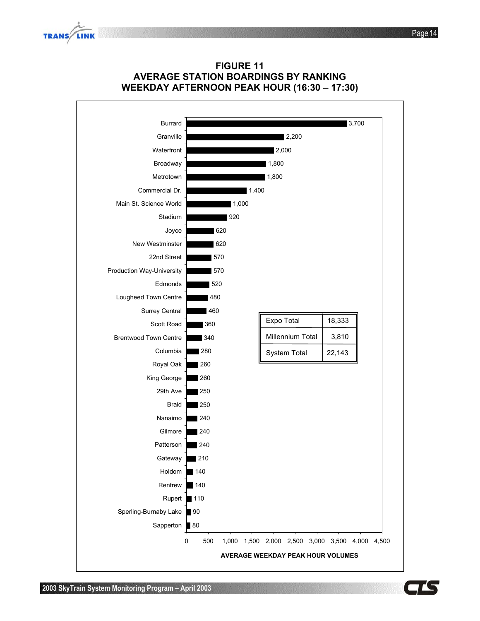